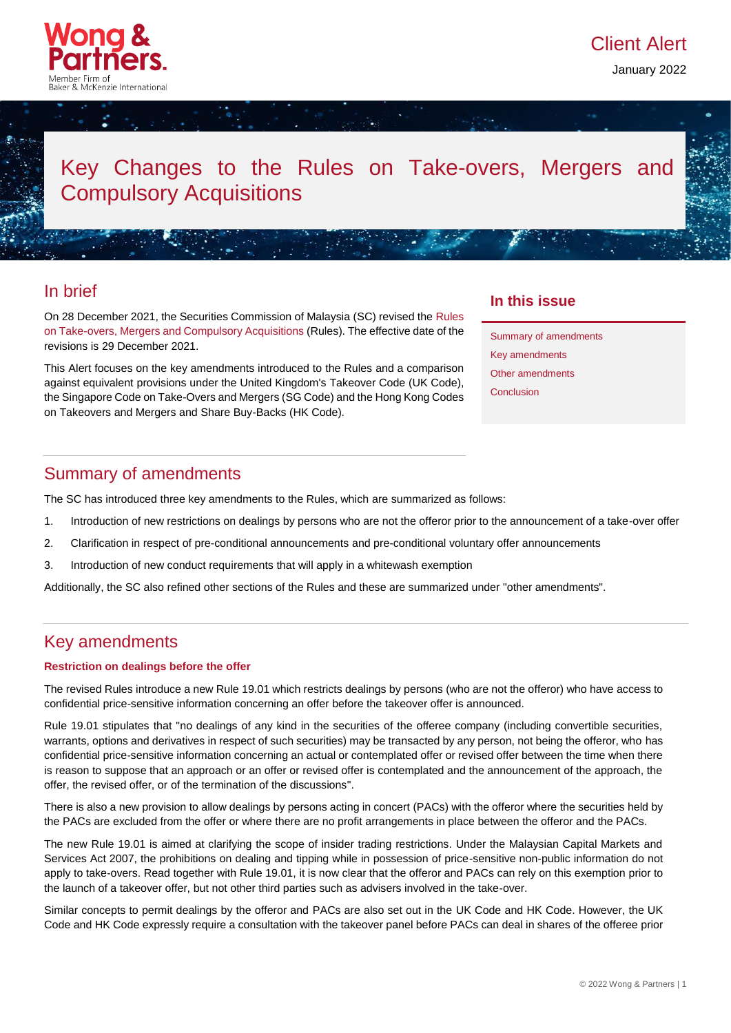

January 2022

# Key Changes to the Rules on Take-overs, Mergers and Compulsory Acquisitions

### In brief

On 28 December 2021, the Securities Commission of Malaysia (SC) revised the [Rules](https://www.sc.com.my/api/documentms/download.ashx?id=0615c946-06ed-4e2b-bfe2-7d28bec9c42e)  [on Take-overs, Mergers and Compulsory Acquisitions](https://www.sc.com.my/api/documentms/download.ashx?id=0615c946-06ed-4e2b-bfe2-7d28bec9c42e) (Rules). The effective date of the revisions is 29 December 2021.

This Alert focuses on the key amendments introduced to the Rules and a comparison against equivalent provisions under the United Kingdom's Takeover Code (UK Code), the Singapore Code on Take-Overs and Mergers (SG Code) and the Hong Kong Codes on Takeovers and Mergers and Share Buy-Backs (HK Code).

### **In this issue**

Summary of [amendments](#page-0-0) Key amendments [Other amendments](#page-2-0) **[Conclusion](#page-3-0)** 

### <span id="page-0-0"></span>Summary of amendments

The SC has introduced three key amendments to the Rules, which are summarized as follows:

- 1. Introduction of new restrictions on dealings by persons who are not the offeror prior to the announcement of a take-over offer
- 2. Clarification in respect of pre-conditional announcements and pre-conditional voluntary offer announcements
- 3. Introduction of new conduct requirements that will apply in a whitewash exemption

Additionally, the SC also refined other sections of the Rules and these are summarized under "other amendments".

### Key amendments

#### **Restriction on dealings before the offer**

The revised Rules introduce a new Rule 19.01 which restricts dealings by persons (who are not the offeror) who have access to confidential price-sensitive information concerning an offer before the takeover offer is announced.

Rule 19.01 stipulates that "no dealings of any kind in the securities of the offeree company (including convertible securities, warrants, options and derivatives in respect of such securities) may be transacted by any person, not being the offeror, who has confidential price-sensitive information concerning an actual or contemplated offer or revised offer between the time when there is reason to suppose that an approach or an offer or revised offer is contemplated and the announcement of the approach, the offer, the revised offer, or of the termination of the discussions".

There is also a new provision to allow dealings by persons acting in concert (PACs) with the offeror where the securities held by the PACs are excluded from the offer or where there are no profit arrangements in place between the offeror and the PACs.

The new Rule 19.01 is aimed at clarifying the scope of insider trading restrictions. Under the Malaysian Capital Markets and Services Act 2007, the prohibitions on dealing and tipping while in possession of price-sensitive non-public information do not apply to take-overs. Read together with Rule 19.01, it is now clear that the offeror and PACs can rely on this exemption prior to the launch of a takeover offer, but not other third parties such as advisers involved in the take-over.

Similar concepts to permit dealings by the offeror and PACs are also set out in the UK Code and HK Code. However, the UK Code and HK Code expressly require a consultation with the takeover panel before PACs can deal in shares of the offeree prior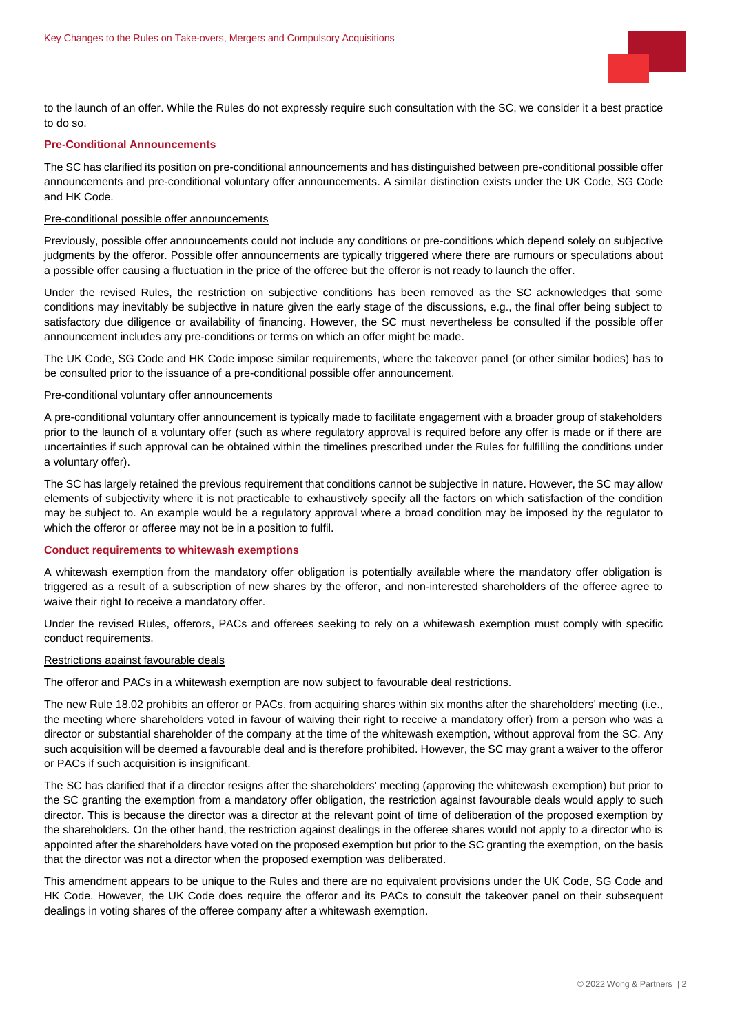

to the launch of an offer. While the Rules do not expressly require such consultation with the SC, we consider it a best practice to do so.

#### **Pre-Conditional Announcements**

The SC has clarified its position on pre-conditional announcements and has distinguished between pre-conditional possible offer announcements and pre-conditional voluntary offer announcements. A similar distinction exists under the UK Code, SG Code and HK Code.

#### Pre-conditional possible offer announcements

Previously, possible offer announcements could not include any conditions or pre-conditions which depend solely on subjective judgments by the offeror. Possible offer announcements are typically triggered where there are rumours or speculations about a possible offer causing a fluctuation in the price of the offeree but the offeror is not ready to launch the offer.

Under the revised Rules, the restriction on subjective conditions has been removed as the SC acknowledges that some conditions may inevitably be subjective in nature given the early stage of the discussions, e.g., the final offer being subject to satisfactory due diligence or availability of financing. However, the SC must nevertheless be consulted if the possible offer announcement includes any pre-conditions or terms on which an offer might be made.

The UK Code, SG Code and HK Code impose similar requirements, where the takeover panel (or other similar bodies) has to be consulted prior to the issuance of a pre-conditional possible offer announcement.

#### Pre-conditional voluntary offer announcements

A pre-conditional voluntary offer announcement is typically made to facilitate engagement with a broader group of stakeholders prior to the launch of a voluntary offer (such as where regulatory approval is required before any offer is made or if there are uncertainties if such approval can be obtained within the timelines prescribed under the Rules for fulfilling the conditions under a voluntary offer).

The SC has largely retained the previous requirement that conditions cannot be subjective in nature. However, the SC may allow elements of subjectivity where it is not practicable to exhaustively specify all the factors on which satisfaction of the condition may be subject to. An example would be a regulatory approval where a broad condition may be imposed by the regulator to which the offeror or offeree may not be in a position to fulfil.

#### **Conduct requirements to whitewash exemptions**

A whitewash exemption from the mandatory offer obligation is potentially available where the mandatory offer obligation is triggered as a result of a subscription of new shares by the offeror, and non-interested shareholders of the offeree agree to waive their right to receive a mandatory offer.

Under the revised Rules, offerors, PACs and offerees seeking to rely on a whitewash exemption must comply with specific conduct requirements.

#### Restrictions against favourable deals

The offeror and PACs in a whitewash exemption are now subject to favourable deal restrictions.

The new Rule 18.02 prohibits an offeror or PACs, from acquiring shares within six months after the shareholders' meeting (i.e., the meeting where shareholders voted in favour of waiving their right to receive a mandatory offer) from a person who was a director or substantial shareholder of the company at the time of the whitewash exemption, without approval from the SC. Any such acquisition will be deemed a favourable deal and is therefore prohibited. However, the SC may grant a waiver to the offeror or PACs if such acquisition is insignificant.

The SC has clarified that if a director resigns after the shareholders' meeting (approving the whitewash exemption) but prior to the SC granting the exemption from a mandatory offer obligation, the restriction against favourable deals would apply to such director. This is because the director was a director at the relevant point of time of deliberation of the proposed exemption by the shareholders. On the other hand, the restriction against dealings in the offeree shares would not apply to a director who is appointed after the shareholders have voted on the proposed exemption but prior to the SC granting the exemption, on the basis that the director was not a director when the proposed exemption was deliberated.

This amendment appears to be unique to the Rules and there are no equivalent provisions under the UK Code, SG Code and HK Code. However, the UK Code does require the offeror and its PACs to consult the takeover panel on their subsequent dealings in voting shares of the offeree company after a whitewash exemption.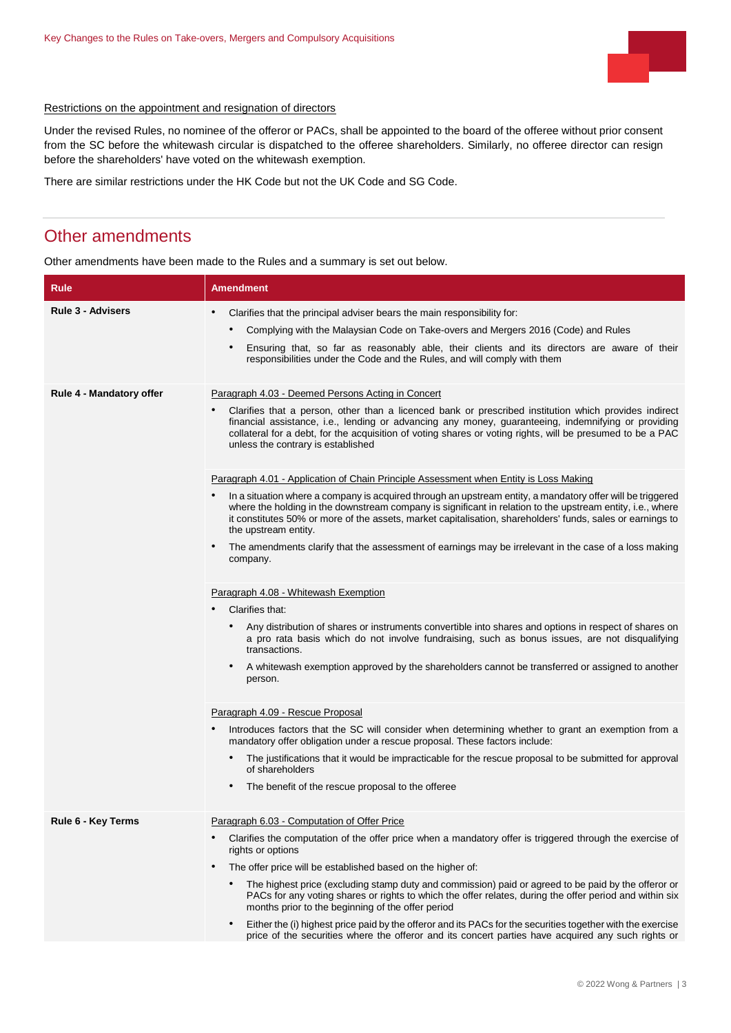

#### Restrictions on the appointment and resignation of directors

Under the revised Rules, no nominee of the offeror or PACs, shall be appointed to the board of the offeree without prior consent from the SC before the whitewash circular is dispatched to the offeree shareholders. Similarly, no offeree director can resign before the shareholders' have voted on the whitewash exemption.

<span id="page-2-0"></span>There are similar restrictions under the HK Code but not the UK Code and SG Code.

### Other amendments

Other amendments have been made to the Rules and a summary is set out below.

| Rule                     | <b>Amendment</b>                                                                                                                                                                                                                                                                                                                                                            |
|--------------------------|-----------------------------------------------------------------------------------------------------------------------------------------------------------------------------------------------------------------------------------------------------------------------------------------------------------------------------------------------------------------------------|
| <b>Rule 3 - Advisers</b> | $\bullet$<br>Clarifies that the principal adviser bears the main responsibility for:                                                                                                                                                                                                                                                                                        |
|                          | Complying with the Malaysian Code on Take-overs and Mergers 2016 (Code) and Rules                                                                                                                                                                                                                                                                                           |
|                          | Ensuring that, so far as reasonably able, their clients and its directors are aware of their<br>responsibilities under the Code and the Rules, and will comply with them                                                                                                                                                                                                    |
| Rule 4 - Mandatory offer | Paragraph 4.03 - Deemed Persons Acting in Concert                                                                                                                                                                                                                                                                                                                           |
|                          | Clarifies that a person, other than a licenced bank or prescribed institution which provides indirect<br>financial assistance, i.e., lending or advancing any money, guaranteeing, indemnifying or providing<br>collateral for a debt, for the acquisition of voting shares or voting rights, will be presumed to be a PAC<br>unless the contrary is established            |
|                          | Paragraph 4.01 - Application of Chain Principle Assessment when Entity is Loss Making                                                                                                                                                                                                                                                                                       |
|                          | In a situation where a company is acquired through an upstream entity, a mandatory offer will be triggered<br>$\bullet$<br>where the holding in the downstream company is significant in relation to the upstream entity, i.e., where<br>it constitutes 50% or more of the assets, market capitalisation, shareholders' funds, sales or earnings to<br>the upstream entity. |
|                          | The amendments clarify that the assessment of earnings may be irrelevant in the case of a loss making<br>company.                                                                                                                                                                                                                                                           |
|                          | Paragraph 4.08 - Whitewash Exemption                                                                                                                                                                                                                                                                                                                                        |
|                          | Clarifies that:                                                                                                                                                                                                                                                                                                                                                             |
|                          | Any distribution of shares or instruments convertible into shares and options in respect of shares on<br>$\bullet$<br>a pro rata basis which do not involve fundraising, such as bonus issues, are not disqualifying<br>transactions.                                                                                                                                       |
|                          | A whitewash exemption approved by the shareholders cannot be transferred or assigned to another<br>person.                                                                                                                                                                                                                                                                  |
|                          | Paragraph 4.09 - Rescue Proposal                                                                                                                                                                                                                                                                                                                                            |
|                          | Introduces factors that the SC will consider when determining whether to grant an exemption from a<br>mandatory offer obligation under a rescue proposal. These factors include:                                                                                                                                                                                            |
|                          | The justifications that it would be impracticable for the rescue proposal to be submitted for approval<br>of shareholders                                                                                                                                                                                                                                                   |
|                          | The benefit of the rescue proposal to the offeree                                                                                                                                                                                                                                                                                                                           |
| Rule 6 - Key Terms       | Paragraph 6.03 - Computation of Offer Price                                                                                                                                                                                                                                                                                                                                 |
|                          | Clarifies the computation of the offer price when a mandatory offer is triggered through the exercise of<br>rights or options                                                                                                                                                                                                                                               |
|                          | The offer price will be established based on the higher of:<br>$\bullet$                                                                                                                                                                                                                                                                                                    |
|                          | The highest price (excluding stamp duty and commission) paid or agreed to be paid by the offeror or<br>PACs for any voting shares or rights to which the offer relates, during the offer period and within six<br>months prior to the beginning of the offer period                                                                                                         |
|                          | Either the (i) highest price paid by the offeror and its PACs for the securities together with the exercise<br>٠<br>price of the securities where the offeror and its concert parties have acquired any such rights or                                                                                                                                                      |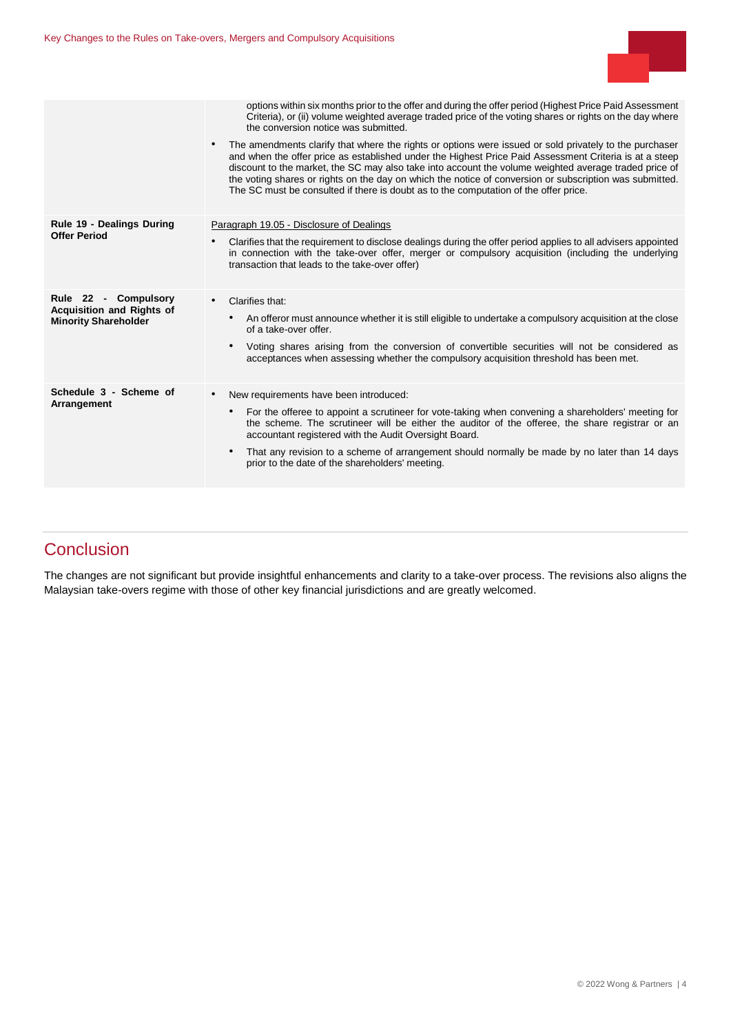

|                                                                                         | options within six months prior to the offer and during the offer period (Highest Price Paid Assessment<br>Criteria), or (ii) volume weighted average traded price of the voting shares or rights on the day where<br>the conversion notice was submitted.                                                                                                                                                                                                                                                                                |
|-----------------------------------------------------------------------------------------|-------------------------------------------------------------------------------------------------------------------------------------------------------------------------------------------------------------------------------------------------------------------------------------------------------------------------------------------------------------------------------------------------------------------------------------------------------------------------------------------------------------------------------------------|
|                                                                                         | The amendments clarify that where the rights or options were issued or sold privately to the purchaser<br>$\bullet$<br>and when the offer price as established under the Highest Price Paid Assessment Criteria is at a steep<br>discount to the market, the SC may also take into account the volume weighted average traded price of<br>the voting shares or rights on the day on which the notice of conversion or subscription was submitted.<br>The SC must be consulted if there is doubt as to the computation of the offer price. |
| Rule 19 - Dealings During<br><b>Offer Period</b>                                        | Paragraph 19.05 - Disclosure of Dealings                                                                                                                                                                                                                                                                                                                                                                                                                                                                                                  |
|                                                                                         | Clarifies that the requirement to disclose dealings during the offer period applies to all advisers appointed<br>$\bullet$<br>in connection with the take-over offer, merger or compulsory acquisition (including the underlying<br>transaction that leads to the take-over offer)                                                                                                                                                                                                                                                        |
| Rule 22 - Compulsory<br><b>Acquisition and Rights of</b><br><b>Minority Shareholder</b> | Clarifies that:<br>$\bullet$                                                                                                                                                                                                                                                                                                                                                                                                                                                                                                              |
|                                                                                         | An offeror must announce whether it is still eligible to undertake a compulsory acquisition at the close<br>$\bullet$<br>of a take-over offer.                                                                                                                                                                                                                                                                                                                                                                                            |
|                                                                                         | Voting shares arising from the conversion of convertible securities will not be considered as<br>acceptances when assessing whether the compulsory acquisition threshold has been met.                                                                                                                                                                                                                                                                                                                                                    |
| Schedule 3 - Scheme of<br>Arrangement                                                   | New requirements have been introduced:<br>$\bullet$                                                                                                                                                                                                                                                                                                                                                                                                                                                                                       |
|                                                                                         | For the offeree to appoint a scrutineer for vote-taking when convening a shareholders' meeting for<br>$\bullet$<br>the scheme. The scrutineer will be either the auditor of the offeree, the share registrar or an<br>accountant registered with the Audit Oversight Board.                                                                                                                                                                                                                                                               |
|                                                                                         | That any revision to a scheme of arrangement should normally be made by no later than 14 days<br>٠<br>prior to the date of the shareholders' meeting.                                                                                                                                                                                                                                                                                                                                                                                     |
|                                                                                         |                                                                                                                                                                                                                                                                                                                                                                                                                                                                                                                                           |

# <span id="page-3-0"></span>**Conclusion**

The changes are not significant but provide insightful enhancements and clarity to a take-over process. The revisions also aligns the Malaysian take-overs regime with those of other key financial jurisdictions and are greatly welcomed.